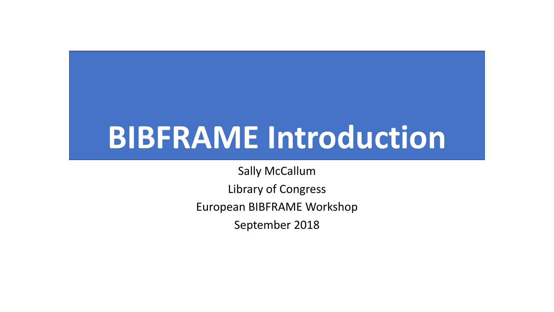# **BIBFRAME Introduction**

Sally McCallum Library of Congress European BIBFRAME Workshop September 2018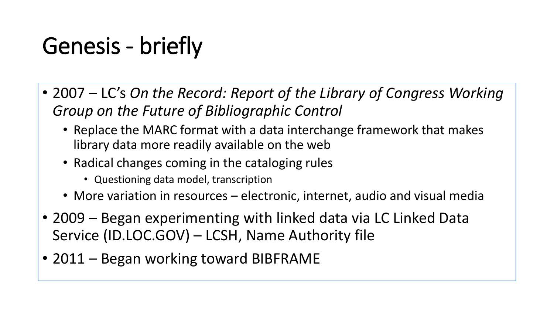## Genesis - briefly

- 2007 LC's *On the Record: Report of the Library of Congress Working Group on the Future of Bibliographic Control*
	- Replace the MARC format with a data interchange framework that makes library data more readily available on the web
	- Radical changes coming in the cataloging rules
		- Questioning data model, transcription
	- More variation in resources electronic, internet, audio and visual media
- 2009 Began experimenting with linked data via LC Linked Data Service (ID.LOC.GOV) – LCSH, Name Authority file
- 2011 Began working toward BIBFRAME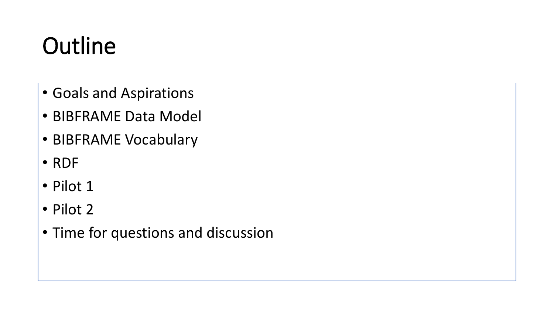## **Outline**

- Goals and Aspirations
- BIBFRAME Data Model
- BIBFRAME Vocabulary
- RDF
- Pilot 1
- Pilot 2
- Time for questions and discussion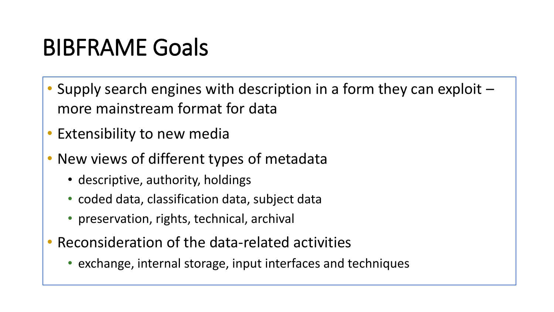### BIBFRAME Goals

- Supply search engines with description in a form they can exploit more mainstream format for data
- Extensibility to new media
- New views of different types of metadata
	- descriptive, authority, holdings
	- coded data, classification data, subject data
	- preservation, rights, technical, archival
- Reconsideration of the data-related activities
	- exchange, internal storage, input interfaces and techniques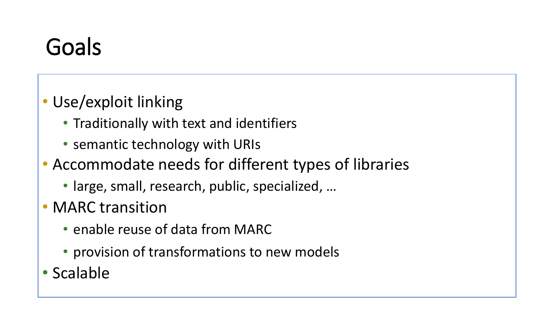### Goals

#### • Use/exploit linking

- Traditionally with text and identifiers
- semantic technology with URIs
- Accommodate needs for different types of libraries
	- large, small, research, public, specialized, …
- MARC transition
	- enable reuse of data from MARC
	- provision of transformations to new models
- Scalable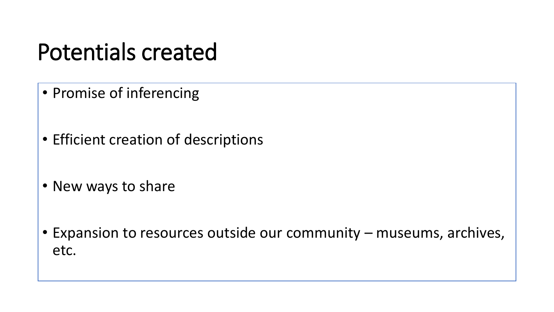#### Potentials created

- Promise of inferencing
- Efficient creation of descriptions
- New ways to share
- Expansion to resources outside our community museums, archives, etc.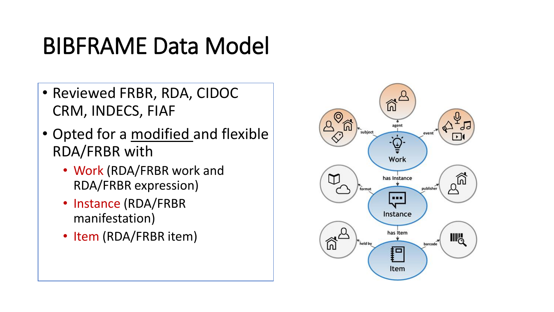#### BIBFRAME Data Model

- Reviewed FRBR, RDA, CIDOC CRM, INDECS, FIAF
- Opted for a modified and flexible RDA/FRBR with
	- Work (RDA/FRBR work and RDA/FRBR expression)
	- Instance (RDA/FRBR manifestation)
	- Item (RDA/FRBR item)

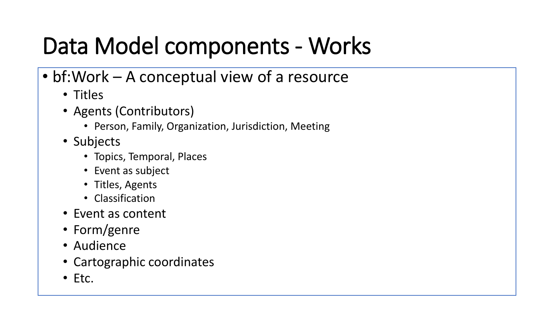### Data Model components - Works

- bf:Work A conceptual view of a resource
	- Titles
	- Agents (Contributors)
		- Person, Family, Organization, Jurisdiction, Meeting
	- Subjects
		- Topics, Temporal, Places
		- Event as subject
		- Titles, Agents
		- Classification
	- Event as content
	- Form/genre
	- Audience
	- Cartographic coordinates
	- Etc.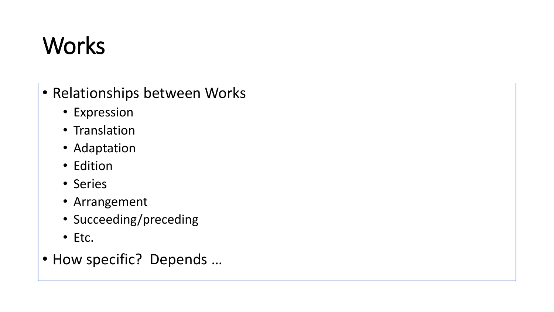## **Works**

- Relationships between Works
	- Expression
	- Translation
	- Adaptation
	- Edition
	- Series
	- Arrangement
	- Succeeding/preceding
	- Etc.
- How specific? Depends …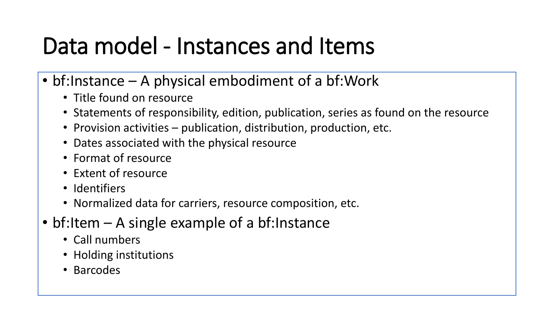#### Data model - Instances and Items

- bf:Instance A physical embodiment of a bf:Work
	- Title found on resource
	- Statements of responsibility, edition, publication, series as found on the resource
	- Provision activities publication, distribution, production, etc.
	- Dates associated with the physical resource
	- Format of resource
	- Extent of resource
	- Identifiers
	- Normalized data for carriers, resource composition, etc.
- bf:Item A single example of a bf:Instance
	- Call numbers
	- Holding institutions
	- Barcodes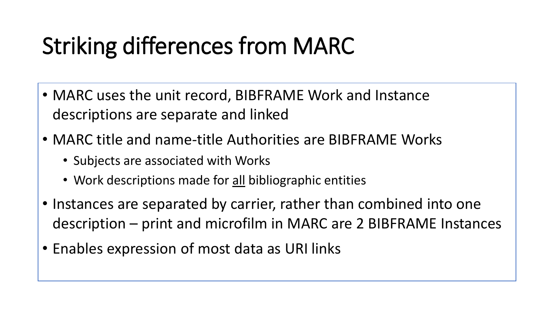### Striking differences from MARC

- MARC uses the unit record, BIBFRAME Work and Instance descriptions are separate and linked
- MARC title and name-title Authorities are BIBFRAME Works
	- Subjects are associated with Works
	- Work descriptions made for all bibliographic entities
- Instances are separated by carrier, rather than combined into one description – print and microfilm in MARC are 2 BIBFRAME Instances
- Enables expression of most data as URI links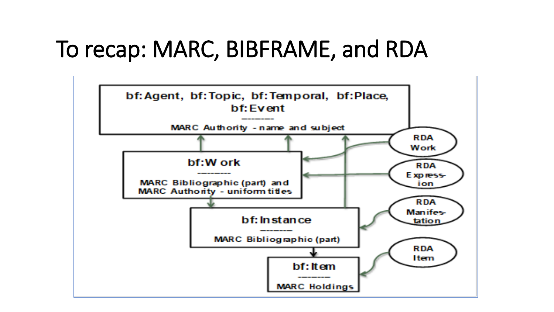#### To recap: MARC, BIBFRAME, and RDA

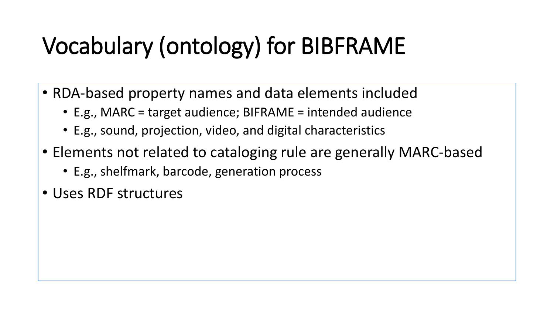## Vocabulary (ontology) for BIBFRAME

- RDA-based property names and data elements included
	- E.g., MARC = target audience; BIFRAME = intended audience
	- E.g., sound, projection, video, and digital characteristics
- Elements not related to cataloging rule are generally MARC-based
	- E.g., shelfmark, barcode, generation process
- Uses RDF structures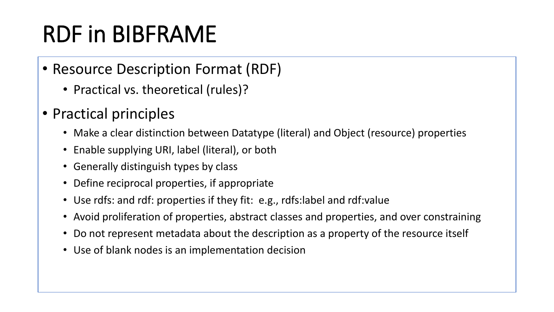## RDF in BIBFRAME

- Resource Description Format (RDF)
	- Practical vs. theoretical (rules)?
- Practical principles
	- Make a clear distinction between Datatype (literal) and Object (resource) properties
	- Enable supplying URI, label (literal), or both
	- Generally distinguish types by class
	- Define reciprocal properties, if appropriate
	- Use rdfs: and rdf: properties if they fit: e.g., rdfs: label and rdf: value
	- Avoid proliferation of properties, abstract classes and properties, and over constraining
	- Do not represent metadata about the description as a property of the resource itself
	- Use of blank nodes is an implementation decision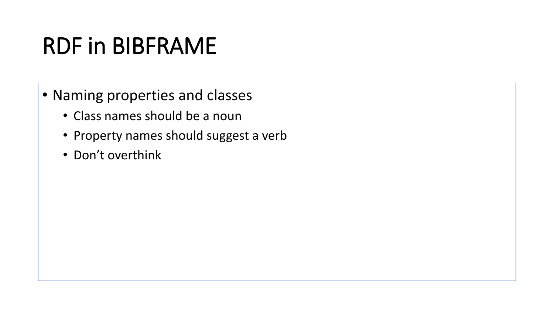### RDF in BIBFRAME

- Naming properties and classes
	- Class names should be a noun
	- Property names should suggest a verb
	- Don't overthink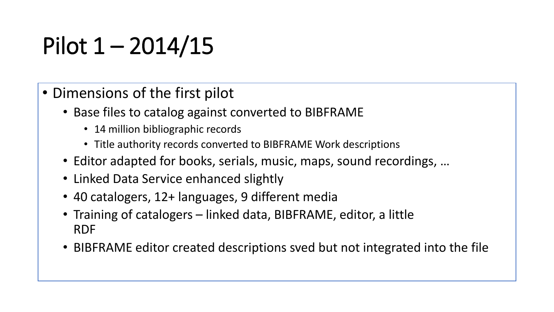## Pilot  $1 - 2014/15$

- Dimensions of the first pilot
	- Base files to catalog against converted to BIBFRAME
		- 14 million bibliographic records
		- Title authority records converted to BIBFRAME Work descriptions
	- Editor adapted for books, serials, music, maps, sound recordings, …
	- Linked Data Service enhanced slightly
	- 40 catalogers, 12+ languages, 9 different media
	- Training of catalogers linked data, BIBFRAME, editor, a little RDF
	- BIBFRAME editor created descriptions sved but not integrated into the file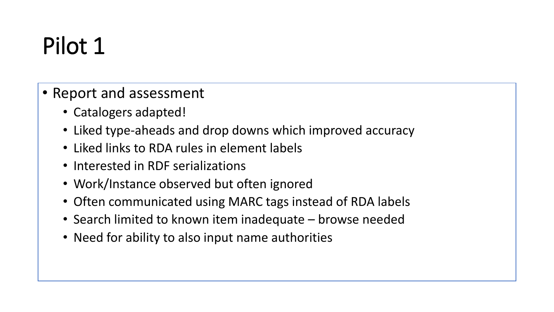## Pilot 1

- Report and assessment
	- Catalogers adapted!
	- Liked type-aheads and drop downs which improved accuracy
	- Liked links to RDA rules in element labels
	- Interested in RDF serializations
	- Work/Instance observed but often ignored
	- Often communicated using MARC tags instead of RDA labels
	- Search limited to known item inadequate browse needed
	- Need for ability to also input name authorities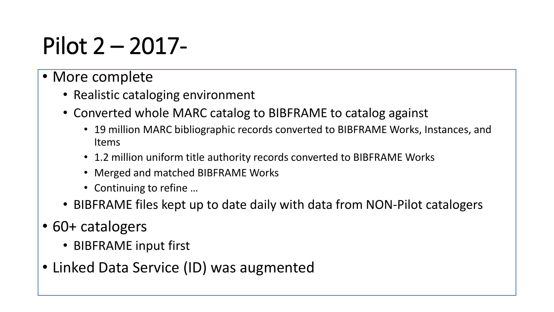### Pilot 2 – 2017-

#### • More complete

- Realistic cataloging environment
- Converted whole MARC catalog to BIBFRAME to catalog against
	- 19 million MARC bibliographic records converted to BIBFRAME Works, Instances, and Items
	- 1.2 million uniform title authority records converted to BIBFRAME Works
	- Merged and matched BIBFRAME Works
	- Continuing to refine ...
- BIBFRAME files kept up to date daily with data from NON-Pilot catalogers
- 60+ catalogers
	- BIBFRAME input first
- Linked Data Service (ID) was augmented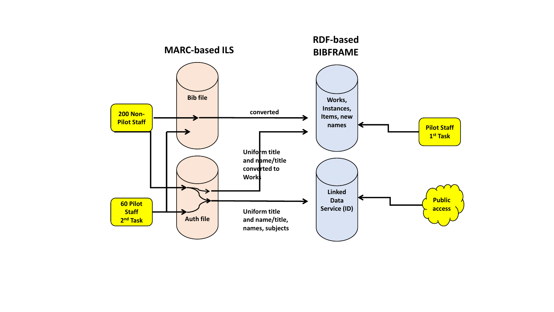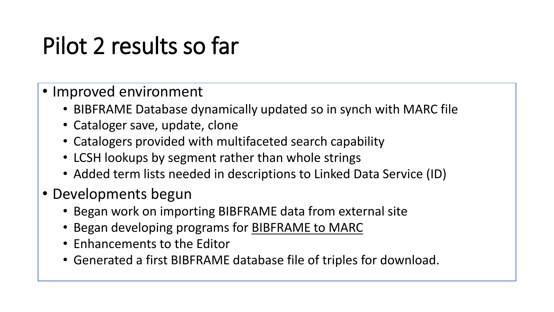### Pilot 2 results so far

- Improved environment
	- BIBFRAME Database dynamically updated so in synch with MARC file
	- Cataloger save, update, clone
	- Catalogers provided with multifaceted search capability
	- LCSH lookups by segment rather than whole strings
	- Added term lists needed in descriptions to Linked Data Service (ID)
- Developments begun
	- Began work on importing BIBFRAME data from external site
	- Began developing programs for **BIBFRAME** to MARC
	- Enhancements to the Editor
	- Generated a first BIBFRAME database file of triples for download.